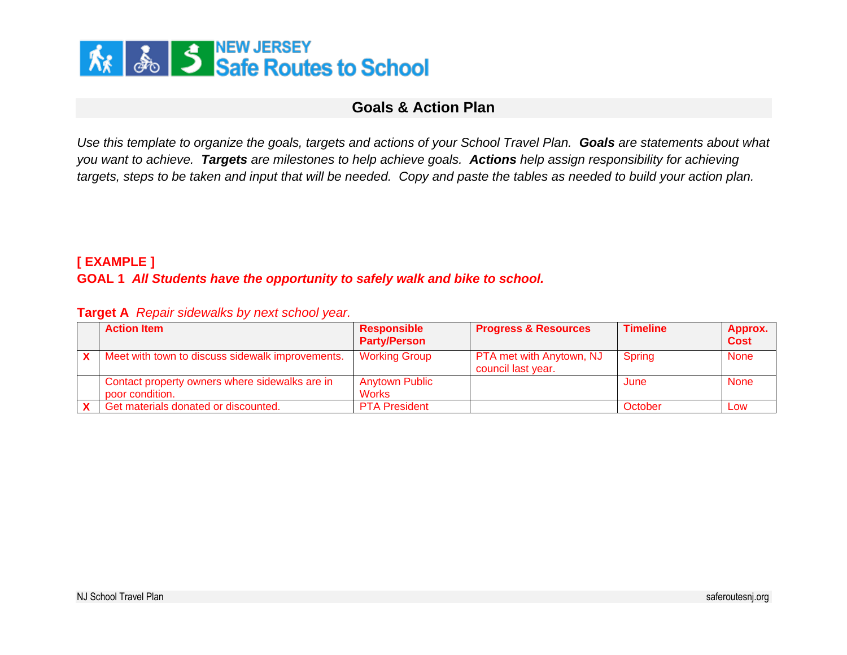

## **Goals & Action Plan**

*Use this template to organize the goals, targets and actions of your School Travel Plan. Goals are statements about what you want to achieve. Targets are milestones to help achieve goals. Actions help assign responsibility for achieving targets, steps to be taken and input that will be needed. Copy and paste the tables as needed to build your action plan.*

# **[ EXAMPLE ] GOAL 1** *All Students have the opportunity to safely walk and bike to school.*

| <b>Action Item</b>                                                | <b>Responsible</b><br><b>Party/Person</b> | <b>Progress &amp; Resources</b>                | <b>Timeline</b> | Approx.<br><b>Cost</b> |
|-------------------------------------------------------------------|-------------------------------------------|------------------------------------------------|-----------------|------------------------|
| Meet with town to discuss sidewalk improvements.                  | <b>Working Group</b>                      | PTA met with Anytown, NJ<br>council last year. | Spring          | <b>None</b>            |
| Contact property owners where sidewalks are in<br>poor condition. | <b>Anytown Public</b><br><b>Works</b>     |                                                | June            | <b>None</b>            |
| Get materials donated or discounted.                              | <b>PTA President</b>                      |                                                | October         | Low                    |

**Target A** *Repair sidewalks by next school year.*